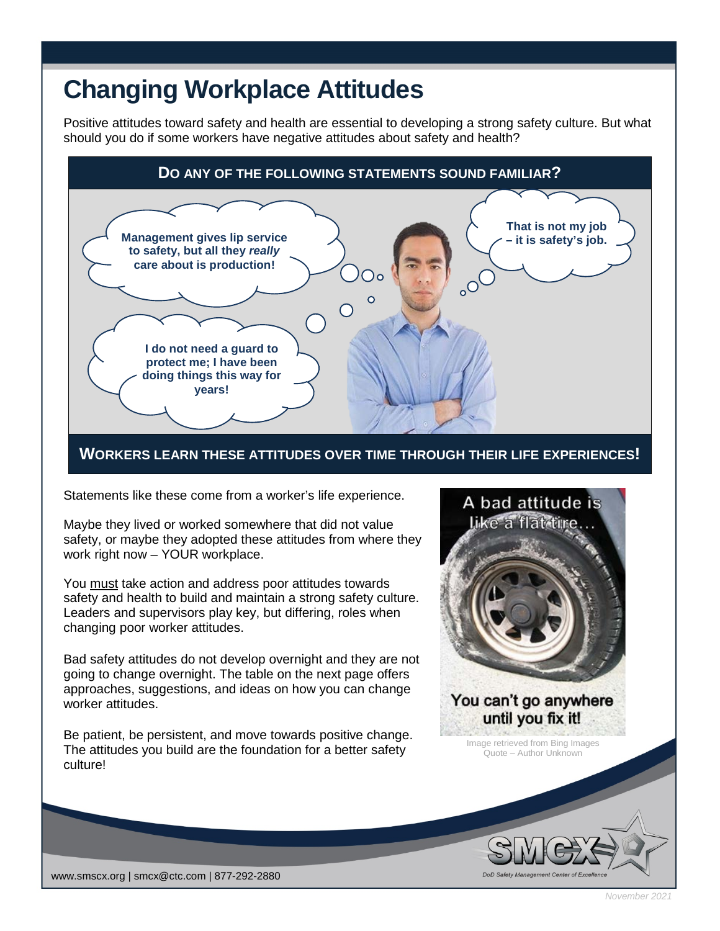## **Changing Workplace Attitudes**

Positive attitudes toward safety and health are essential to developing a strong safety culture. But what should you do if some workers have negative attitudes about safety and health?



**WORKERS LEARN THESE ATTITUDES OVER TIME THROUGH THEIR LIFE EXPERIENCES!**

Statements like these come from a worker's life experience.

Maybe they lived or worked somewhere that did not value safety, or maybe they adopted these attitudes from where they work right now – YOUR workplace.

You must take action and address poor attitudes towards safety and health to build and maintain a strong safety culture. Leaders and supervisors play key, but differing, roles when changing poor worker attitudes.

Bad safety attitudes do not develop overnight and they are not going to change overnight. The table on the next page offers approaches, suggestions, and ideas on how you can change worker attitudes.

Be patient, be persistent, and move towards positive change. The attitudes you build are the foundation for a better safety culture!



Image retrieved from Bing Images Quote – Author Unknown

 $\frac{1}{\sqrt{1-\frac{1}{n}}}\sqrt{\frac{1}{n}}$ 



*November 2021*